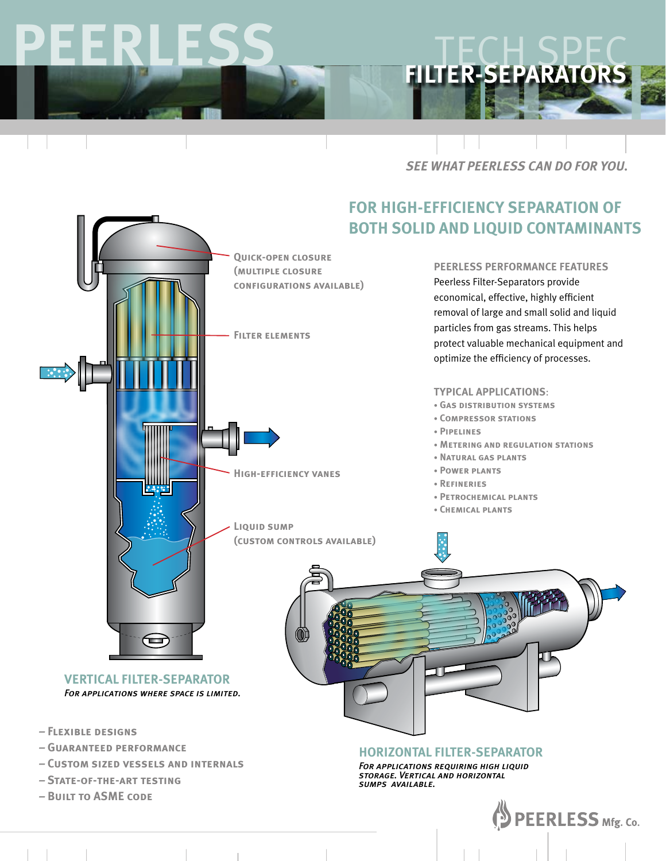# **Peerless**

# **FILTER-SEPARATORS**



# *See what Peerless can do for you.*

# **FOR HIGH-EFFICIENCY SEPARATION OF BOTH SOLID AND LIQUID CONTAMINANTS**

#### **PEERLESS PERFORMANCE FEATURES**

Peerless Filter-Separators provide economical, effective, highly efficient removal of large and small solid and liquid particles from gas streams. This helps protect valuable mechanical equipment and optimize the efficiency of processes.

## **TYPICAL APPLICATIONS**:

- **Gas distribution systems**
- **Compressor stations**
- **Metering and regulation stations**
- **Natural gas plants**
- **Petrochemical plants**
- **Chemical plants**



**Quick-open closure (multiple closure** 

**configurations available)**

- **Custom sized vessels and internals**
- **State-of-the-art testing**
- **Built to ASME code**

# **HORIZONTAL FILTER-SEPARATOR**

*For applications requiring high liquid storage. Vertical and horizontal sumps available.*